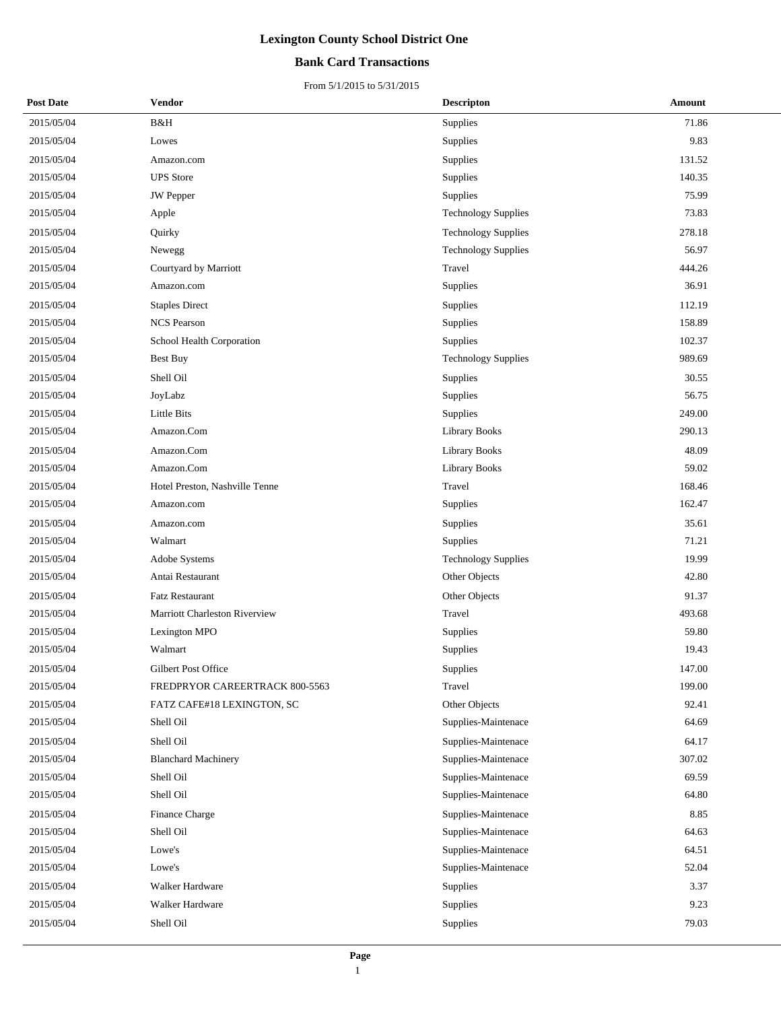## **Bank Card Transactions**

| <b>Post Date</b> | <b>Vendor</b>                  | <b>Descripton</b>          | Amount |
|------------------|--------------------------------|----------------------------|--------|
| 2015/05/04       | B&H                            | Supplies                   | 71.86  |
| 2015/05/04       | Lowes                          | Supplies                   | 9.83   |
| 2015/05/04       | Amazon.com                     | Supplies                   | 131.52 |
| 2015/05/04       | <b>UPS</b> Store               | Supplies                   | 140.35 |
| 2015/05/04       | <b>JW</b> Pepper               | Supplies                   | 75.99  |
| 2015/05/04       | Apple                          | <b>Technology Supplies</b> | 73.83  |
| 2015/05/04       | Quirky                         | <b>Technology Supplies</b> | 278.18 |
| 2015/05/04       | Newegg                         | <b>Technology Supplies</b> | 56.97  |
| 2015/05/04       | Courtyard by Marriott          | Travel                     | 444.26 |
| 2015/05/04       | Amazon.com                     | Supplies                   | 36.91  |
| 2015/05/04       | <b>Staples Direct</b>          | Supplies                   | 112.19 |
| 2015/05/04       | <b>NCS Pearson</b>             | Supplies                   | 158.89 |
| 2015/05/04       | School Health Corporation      | Supplies                   | 102.37 |
| 2015/05/04       | Best Buy                       | <b>Technology Supplies</b> | 989.69 |
| 2015/05/04       | Shell Oil                      | Supplies                   | 30.55  |
| 2015/05/04       | JoyLabz                        | Supplies                   | 56.75  |
| 2015/05/04       | <b>Little Bits</b>             | Supplies                   | 249.00 |
| 2015/05/04       | Amazon.Com                     | <b>Library Books</b>       | 290.13 |
| 2015/05/04       | Amazon.Com                     | <b>Library Books</b>       | 48.09  |
| 2015/05/04       | Amazon.Com                     | <b>Library Books</b>       | 59.02  |
| 2015/05/04       | Hotel Preston, Nashville Tenne | Travel                     | 168.46 |
| 2015/05/04       | Amazon.com                     | Supplies                   | 162.47 |
| 2015/05/04       | Amazon.com                     | Supplies                   | 35.61  |
| 2015/05/04       | Walmart                        | Supplies                   | 71.21  |
| 2015/05/04       | Adobe Systems                  | <b>Technology Supplies</b> | 19.99  |
| 2015/05/04       | Antai Restaurant               | Other Objects              | 42.80  |
| 2015/05/04       | <b>Fatz Restaurant</b>         | Other Objects              | 91.37  |
| 2015/05/04       | Marriott Charleston Riverview  | Travel                     | 493.68 |
| 2015/05/04       | Lexington MPO                  | Supplies                   | 59.80  |
| 2015/05/04       | Walmart                        | Supplies                   | 19.43  |
| 2015/05/04       | Gilbert Post Office            | Supplies                   | 147.00 |
| 2015/05/04       | FREDPRYOR CAREERTRACK 800-5563 | Travel                     | 199.00 |
| 2015/05/04       | FATZ CAFE#18 LEXINGTON, SC     | Other Objects              | 92.41  |
| 2015/05/04       | Shell Oil                      | Supplies-Maintenace        | 64.69  |
| 2015/05/04       | Shell Oil                      | Supplies-Maintenace        | 64.17  |
| 2015/05/04       | <b>Blanchard Machinery</b>     | Supplies-Maintenace        | 307.02 |
| 2015/05/04       | Shell Oil                      | Supplies-Maintenace        | 69.59  |
| 2015/05/04       | Shell Oil                      | Supplies-Maintenace        | 64.80  |
| 2015/05/04       | Finance Charge                 | Supplies-Maintenace        | 8.85   |
| 2015/05/04       | Shell Oil                      | Supplies-Maintenace        | 64.63  |
| 2015/05/04       | Lowe's                         | Supplies-Maintenace        | 64.51  |
| 2015/05/04       | Lowe's                         | Supplies-Maintenace        | 52.04  |
| 2015/05/04       | Walker Hardware                | <b>Supplies</b>            | 3.37   |
| 2015/05/04       | Walker Hardware                | Supplies                   | 9.23   |
| 2015/05/04       | Shell Oil                      | Supplies                   | 79.03  |
|                  |                                |                            |        |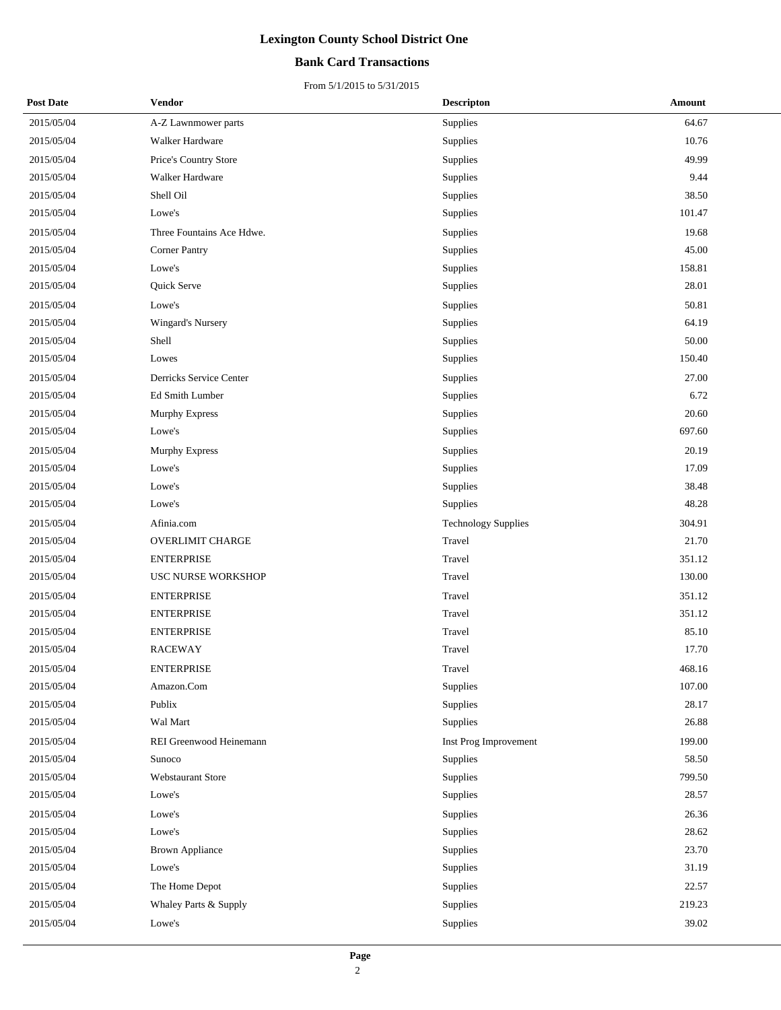## **Bank Card Transactions**

| <b>Post Date</b> | Vendor                    | <b>Descripton</b>     | Amount |
|------------------|---------------------------|-----------------------|--------|
| 2015/05/04       | A-Z Lawnmower parts       | Supplies              | 64.67  |
| 2015/05/04       | Walker Hardware           | Supplies              | 10.76  |
| 2015/05/04       | Price's Country Store     | Supplies              | 49.99  |
| 2015/05/04       | Walker Hardware           | Supplies              | 9.44   |
| 2015/05/04       | Shell Oil                 | Supplies              | 38.50  |
| 2015/05/04       | Lowe's                    | Supplies              | 101.47 |
| 2015/05/04       | Three Fountains Ace Hdwe. | Supplies              | 19.68  |
| 2015/05/04       | <b>Corner Pantry</b>      | Supplies              | 45.00  |
| 2015/05/04       | Lowe's                    | Supplies              | 158.81 |
| 2015/05/04       | Quick Serve               | Supplies              | 28.01  |
| 2015/05/04       | Lowe's                    | Supplies              | 50.81  |
| 2015/05/04       | Wingard's Nursery         | Supplies              | 64.19  |
| 2015/05/04       | Shell                     | Supplies              | 50.00  |
| 2015/05/04       | Lowes                     | Supplies              | 150.40 |
| 2015/05/04       | Derricks Service Center   | Supplies              | 27.00  |
| 2015/05/04       | Ed Smith Lumber           | Supplies              | 6.72   |
| 2015/05/04       | Murphy Express            | Supplies              | 20.60  |
| 2015/05/04       | Lowe's                    | Supplies              | 697.60 |
| 2015/05/04       | Murphy Express            | Supplies              | 20.19  |
| 2015/05/04       | Lowe's                    | Supplies              | 17.09  |
| 2015/05/04       | Lowe's                    | Supplies              | 38.48  |
| 2015/05/04       | Lowe's                    | Supplies              | 48.28  |
| 2015/05/04       | Afinia.com                | Technology Supplies   | 304.91 |
| 2015/05/04       | <b>OVERLIMIT CHARGE</b>   | Travel                | 21.70  |
| 2015/05/04       | <b>ENTERPRISE</b>         | Travel                | 351.12 |
| 2015/05/04       | USC NURSE WORKSHOP        | Travel                | 130.00 |
| 2015/05/04       | <b>ENTERPRISE</b>         | Travel                | 351.12 |
| 2015/05/04       | <b>ENTERPRISE</b>         | Travel                | 351.12 |
| 2015/05/04       | <b>ENTERPRISE</b>         | Travel                | 85.10  |
| 2015/05/04       | <b>RACEWAY</b>            | Travel                | 17.70  |
| 2015/05/04       | <b>ENTERPRISE</b>         | Travel                | 468.16 |
| 2015/05/04       | Amazon.Com                | Supplies              | 107.00 |
| 2015/05/04       | Publix                    | Supplies              | 28.17  |
| 2015/05/04       | Wal Mart                  | Supplies              | 26.88  |
| 2015/05/04       | REI Greenwood Heinemann   | Inst Prog Improvement | 199.00 |
| 2015/05/04       | Sunoco                    | Supplies              | 58.50  |
| 2015/05/04       | Webstaurant Store         | Supplies              | 799.50 |
| 2015/05/04       | Lowe's                    | Supplies              | 28.57  |
| 2015/05/04       | Lowe's                    | Supplies              | 26.36  |
| 2015/05/04       | Lowe's                    | Supplies              | 28.62  |
| 2015/05/04       | <b>Brown Appliance</b>    | Supplies              | 23.70  |
| 2015/05/04       | Lowe's                    | Supplies              | 31.19  |
| 2015/05/04       | The Home Depot            | Supplies              | 22.57  |
| 2015/05/04       | Whaley Parts & Supply     | Supplies              | 219.23 |
| 2015/05/04       | Lowe's                    | Supplies              | 39.02  |
|                  |                           |                       |        |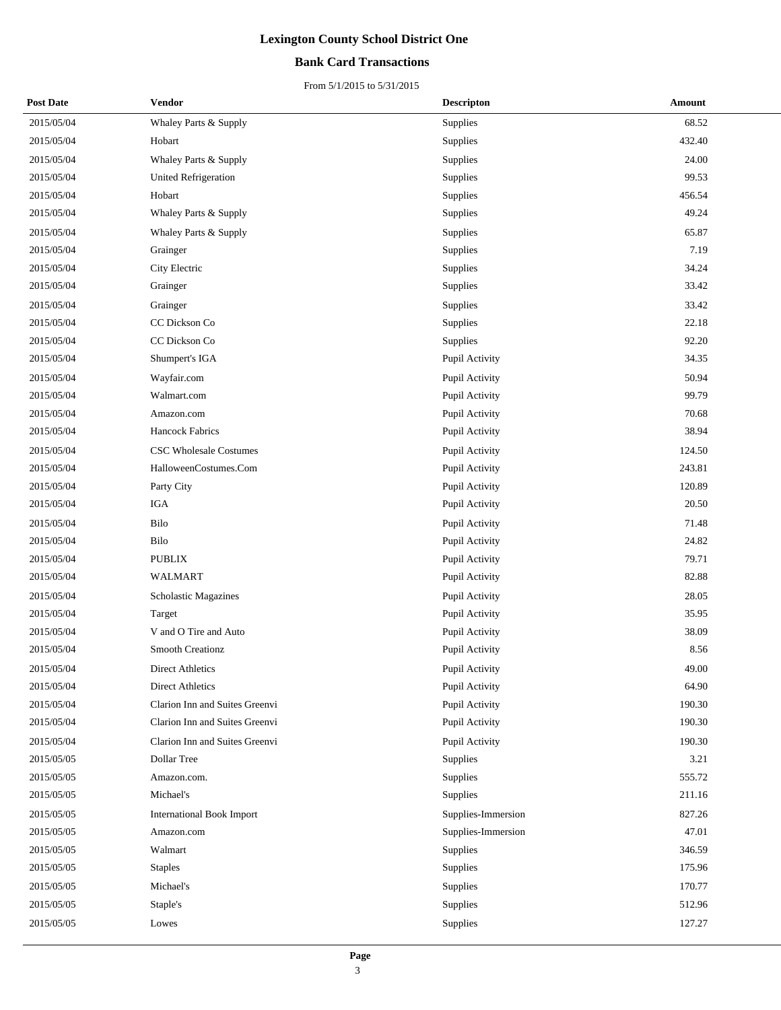## **Bank Card Transactions**

| <b>Post Date</b> | Vendor                           | <b>Descripton</b>  | Amount |
|------------------|----------------------------------|--------------------|--------|
| 2015/05/04       | Whaley Parts & Supply            | Supplies           | 68.52  |
| 2015/05/04       | Hobart                           | Supplies           | 432.40 |
| 2015/05/04       | Whaley Parts & Supply            | Supplies           | 24.00  |
| 2015/05/04       | <b>United Refrigeration</b>      | Supplies           | 99.53  |
| 2015/05/04       | Hobart                           | Supplies           | 456.54 |
| 2015/05/04       | Whaley Parts & Supply            | Supplies           | 49.24  |
| 2015/05/04       | Whaley Parts & Supply            | Supplies           | 65.87  |
| 2015/05/04       | Grainger                         | Supplies           | 7.19   |
| 2015/05/04       | City Electric                    | Supplies           | 34.24  |
| 2015/05/04       | Grainger                         | Supplies           | 33.42  |
| 2015/05/04       | Grainger                         | Supplies           | 33.42  |
| 2015/05/04       | CC Dickson Co                    | Supplies           | 22.18  |
| 2015/05/04       | CC Dickson Co                    | Supplies           | 92.20  |
| 2015/05/04       | Shumpert's IGA                   | Pupil Activity     | 34.35  |
| 2015/05/04       | Wayfair.com                      | Pupil Activity     | 50.94  |
| 2015/05/04       | Walmart.com                      | Pupil Activity     | 99.79  |
| 2015/05/04       | Amazon.com                       | Pupil Activity     | 70.68  |
| 2015/05/04       | <b>Hancock Fabrics</b>           | Pupil Activity     | 38.94  |
| 2015/05/04       | <b>CSC Wholesale Costumes</b>    | Pupil Activity     | 124.50 |
| 2015/05/04       | HalloweenCostumes.Com            | Pupil Activity     | 243.81 |
| 2015/05/04       | Party City                       | Pupil Activity     | 120.89 |
| 2015/05/04       | IGA                              | Pupil Activity     | 20.50  |
| 2015/05/04       | Bilo                             | Pupil Activity     | 71.48  |
| 2015/05/04       | Bilo                             | Pupil Activity     | 24.82  |
| 2015/05/04       | <b>PUBLIX</b>                    | Pupil Activity     | 79.71  |
| 2015/05/04       | WALMART                          | Pupil Activity     | 82.88  |
| 2015/05/04       | Scholastic Magazines             | Pupil Activity     | 28.05  |
| 2015/05/04       | Target                           | Pupil Activity     | 35.95  |
| 2015/05/04       | V and O Tire and Auto            | Pupil Activity     | 38.09  |
| 2015/05/04       | <b>Smooth Creationz</b>          | Pupil Activity     | 8.56   |
| 2015/05/04       | Direct Athletics                 | Pupil Activity     | 49.00  |
| 2015/05/04       | <b>Direct Athletics</b>          | Pupil Activity     | 64.90  |
| 2015/05/04       | Clarion Inn and Suites Greenvi   | Pupil Activity     | 190.30 |
| 2015/05/04       | Clarion Inn and Suites Greenvi   | Pupil Activity     | 190.30 |
| 2015/05/04       | Clarion Inn and Suites Greenvi   | Pupil Activity     | 190.30 |
| 2015/05/05       | Dollar Tree                      | Supplies           | 3.21   |
| 2015/05/05       | Amazon.com.                      | Supplies           | 555.72 |
| 2015/05/05       | Michael's                        | Supplies           | 211.16 |
| 2015/05/05       | <b>International Book Import</b> | Supplies-Immersion | 827.26 |
| 2015/05/05       | Amazon.com                       | Supplies-Immersion | 47.01  |
| 2015/05/05       | Walmart                          | Supplies           | 346.59 |
| 2015/05/05       | <b>Staples</b>                   | Supplies           | 175.96 |
| 2015/05/05       | Michael's                        | Supplies           | 170.77 |
| 2015/05/05       | Staple's                         | Supplies           | 512.96 |
| 2015/05/05       | Lowes                            | Supplies           | 127.27 |
|                  |                                  |                    |        |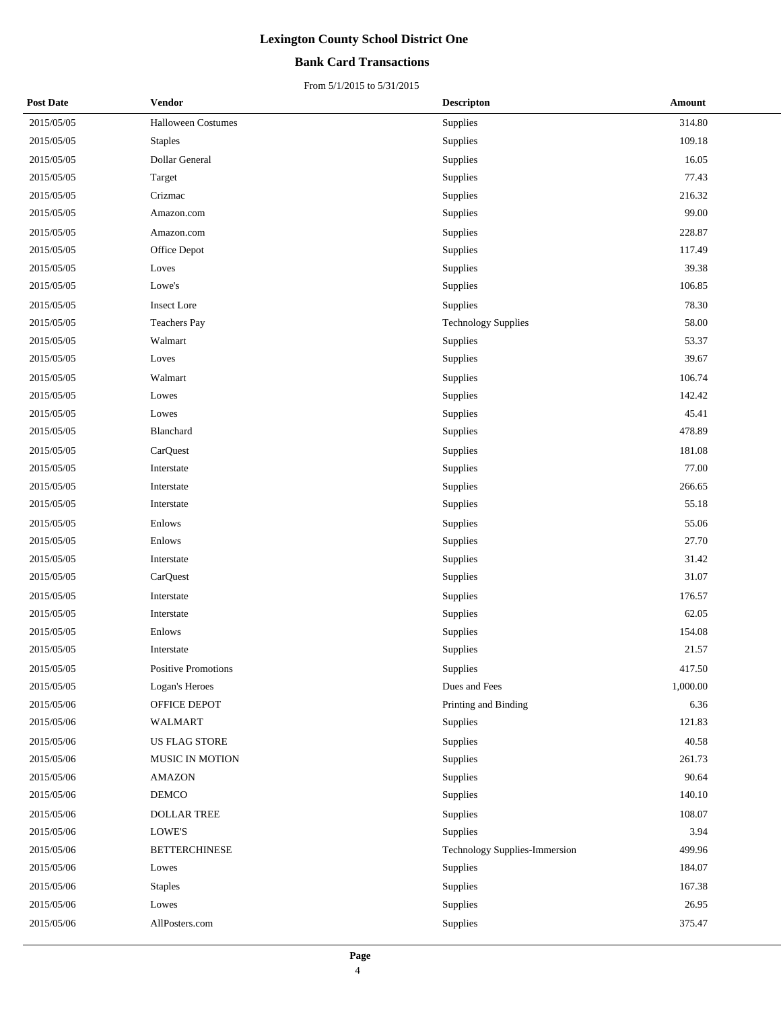### **Bank Card Transactions**

| <b>Post Date</b> | Vendor                    | <b>Descripton</b>             | <b>Amount</b> |  |
|------------------|---------------------------|-------------------------------|---------------|--|
| 2015/05/05       | <b>Halloween Costumes</b> | Supplies                      | 314.80        |  |
| 2015/05/05       | <b>Staples</b>            | Supplies                      | 109.18        |  |
| 2015/05/05       | Dollar General            | Supplies                      | 16.05         |  |
| 2015/05/05       | Target                    | Supplies                      | 77.43         |  |
| 2015/05/05       | Crizmac                   | Supplies                      | 216.32        |  |
| 2015/05/05       | Amazon.com                | Supplies                      | 99.00         |  |
| 2015/05/05       | Amazon.com                | Supplies                      | 228.87        |  |
| 2015/05/05       | Office Depot              | Supplies                      | 117.49        |  |
| 2015/05/05       | Loves                     | Supplies                      | 39.38         |  |
| 2015/05/05       | Lowe's                    | Supplies                      | 106.85        |  |
| 2015/05/05       | <b>Insect Lore</b>        | Supplies                      | 78.30         |  |
| 2015/05/05       | <b>Teachers Pay</b>       | <b>Technology Supplies</b>    | 58.00         |  |
| 2015/05/05       | Walmart                   | Supplies                      | 53.37         |  |
| 2015/05/05       | Loves                     | Supplies                      | 39.67         |  |
| 2015/05/05       | Walmart                   | Supplies                      | 106.74        |  |
| 2015/05/05       | Lowes                     | Supplies                      | 142.42        |  |
| 2015/05/05       | Lowes                     | Supplies                      | 45.41         |  |
| 2015/05/05       | Blanchard                 | Supplies                      | 478.89        |  |
| 2015/05/05       | CarQuest                  | Supplies                      | 181.08        |  |
| 2015/05/05       | Interstate                | Supplies                      | 77.00         |  |
| 2015/05/05       | Interstate                | Supplies                      | 266.65        |  |
| 2015/05/05       | Interstate                | Supplies                      | 55.18         |  |
| 2015/05/05       | Enlows                    | Supplies                      | 55.06         |  |
| 2015/05/05       | Enlows                    | Supplies                      | 27.70         |  |
| 2015/05/05       | Interstate                | Supplies                      | 31.42         |  |
| 2015/05/05       | CarQuest                  | Supplies                      | 31.07         |  |
| 2015/05/05       | Interstate                | Supplies                      | 176.57        |  |
| 2015/05/05       | Interstate                | Supplies                      | 62.05         |  |
| 2015/05/05       | Enlows                    | Supplies                      | 154.08        |  |
| 2015/05/05       | Interstate                | Supplies                      | 21.57         |  |
| 2015/05/05       | Positive Promotions       | Supplies                      | 417.50        |  |
| 2015/05/05       | Logan's Heroes            | Dues and Fees                 | 1,000.00      |  |
| 2015/05/06       | OFFICE DEPOT              | Printing and Binding          | 6.36          |  |
| 2015/05/06       | <b>WALMART</b>            | Supplies                      | 121.83        |  |
| 2015/05/06       | <b>US FLAG STORE</b>      | Supplies                      | 40.58         |  |
| 2015/05/06       | MUSIC IN MOTION           | Supplies                      | 261.73        |  |
| 2015/05/06       | <b>AMAZON</b>             | Supplies                      | 90.64         |  |
| 2015/05/06       | DEMCO                     | Supplies                      | 140.10        |  |
| 2015/05/06       | <b>DOLLAR TREE</b>        | Supplies                      | 108.07        |  |
| 2015/05/06       | LOWE'S                    | Supplies                      | 3.94          |  |
| 2015/05/06       | <b>BETTERCHINESE</b>      | Technology Supplies-Immersion | 499.96        |  |
| 2015/05/06       | Lowes                     | Supplies                      | 184.07        |  |
| 2015/05/06       | <b>Staples</b>            | Supplies                      | 167.38        |  |
| 2015/05/06       | Lowes                     | Supplies                      | 26.95         |  |
| 2015/05/06       | AllPosters.com            | Supplies                      | 375.47        |  |
|                  |                           |                               |               |  |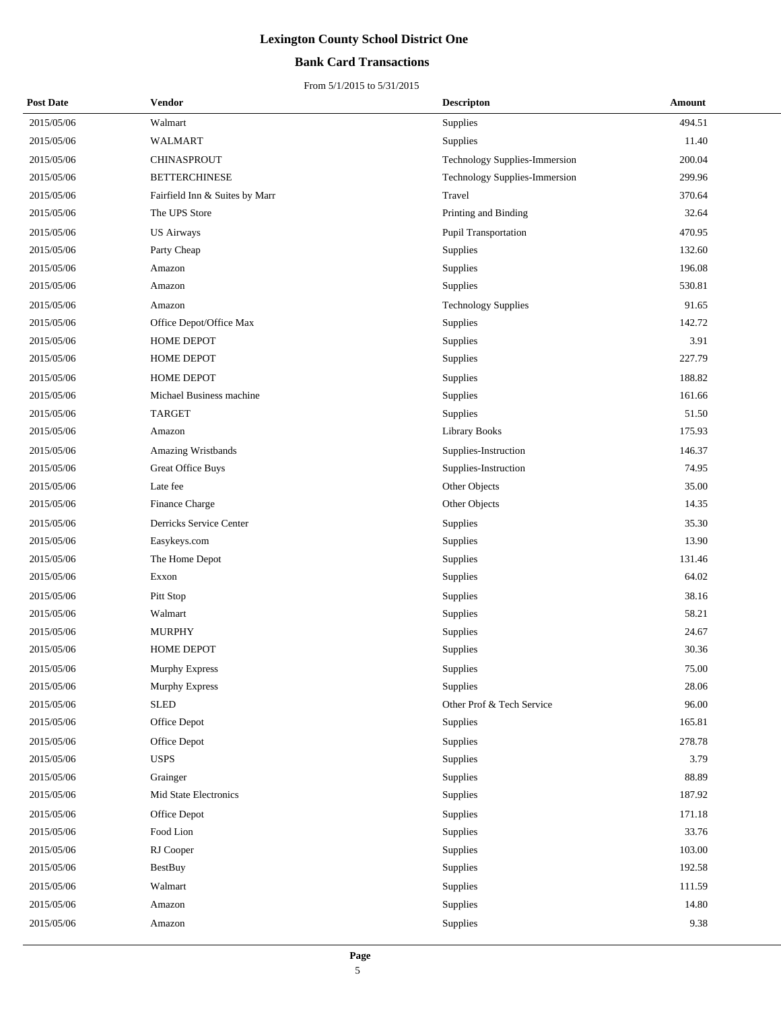## **Bank Card Transactions**

| <b>Post Date</b> | <b>Vendor</b>                  | <b>Descripton</b>             | Amount |
|------------------|--------------------------------|-------------------------------|--------|
| 2015/05/06       | Walmart                        | Supplies                      | 494.51 |
| 2015/05/06       | <b>WALMART</b>                 | Supplies                      | 11.40  |
| 2015/05/06       | <b>CHINASPROUT</b>             | Technology Supplies-Immersion | 200.04 |
| 2015/05/06       | <b>BETTERCHINESE</b>           | Technology Supplies-Immersion | 299.96 |
| 2015/05/06       | Fairfield Inn & Suites by Marr | Travel                        | 370.64 |
| 2015/05/06       | The UPS Store                  | Printing and Binding          | 32.64  |
| 2015/05/06       | <b>US Airways</b>              | Pupil Transportation          | 470.95 |
| 2015/05/06       | Party Cheap                    | Supplies                      | 132.60 |
| 2015/05/06       | Amazon                         | Supplies                      | 196.08 |
| 2015/05/06       | Amazon                         | Supplies                      | 530.81 |
| 2015/05/06       | Amazon                         | <b>Technology Supplies</b>    | 91.65  |
| 2015/05/06       | Office Depot/Office Max        | Supplies                      | 142.72 |
| 2015/05/06       | HOME DEPOT                     | Supplies                      | 3.91   |
| 2015/05/06       | <b>HOME DEPOT</b>              | Supplies                      | 227.79 |
| 2015/05/06       | <b>HOME DEPOT</b>              | Supplies                      | 188.82 |
| 2015/05/06       | Michael Business machine       | Supplies                      | 161.66 |
| 2015/05/06       | <b>TARGET</b>                  | <b>Supplies</b>               | 51.50  |
| 2015/05/06       | Amazon                         | <b>Library Books</b>          | 175.93 |
| 2015/05/06       | Amazing Wristbands             | Supplies-Instruction          | 146.37 |
| 2015/05/06       | <b>Great Office Buys</b>       | Supplies-Instruction          | 74.95  |
| 2015/05/06       | Late fee                       | Other Objects                 | 35.00  |
| 2015/05/06       | Finance Charge                 | Other Objects                 | 14.35  |
| 2015/05/06       | Derricks Service Center        | Supplies                      | 35.30  |
| 2015/05/06       | Easykeys.com                   | Supplies                      | 13.90  |
| 2015/05/06       | The Home Depot                 | Supplies                      | 131.46 |
| 2015/05/06       | Exxon                          | Supplies                      | 64.02  |
| 2015/05/06       | Pitt Stop                      | Supplies                      | 38.16  |
| 2015/05/06       | Walmart                        | Supplies                      | 58.21  |
| 2015/05/06       | <b>MURPHY</b>                  | Supplies                      | 24.67  |
| 2015/05/06       | <b>HOME DEPOT</b>              | Supplies                      | 30.36  |
| 2015/05/06       | Murphy Express                 | Supplies                      | 75.00  |
| 2015/05/06       | <b>Murphy Express</b>          | Supplies                      | 28.06  |
| 2015/05/06       | <b>SLED</b>                    | Other Prof & Tech Service     | 96.00  |
| 2015/05/06       | Office Depot                   | Supplies                      | 165.81 |
| 2015/05/06       | Office Depot                   | Supplies                      | 278.78 |
| 2015/05/06       | <b>USPS</b>                    | Supplies                      | 3.79   |
| 2015/05/06       | Grainger                       | Supplies                      | 88.89  |
| 2015/05/06       | <b>Mid State Electronics</b>   | Supplies                      | 187.92 |
| 2015/05/06       | Office Depot                   | Supplies                      | 171.18 |
| 2015/05/06       | Food Lion                      | Supplies                      | 33.76  |
| 2015/05/06       | RJ Cooper                      | Supplies                      | 103.00 |
| 2015/05/06       | <b>BestBuy</b>                 | Supplies                      | 192.58 |
| 2015/05/06       | Walmart                        | Supplies                      | 111.59 |
| 2015/05/06       | Amazon                         | Supplies                      | 14.80  |
| 2015/05/06       | Amazon                         | Supplies                      | 9.38   |
|                  |                                |                               |        |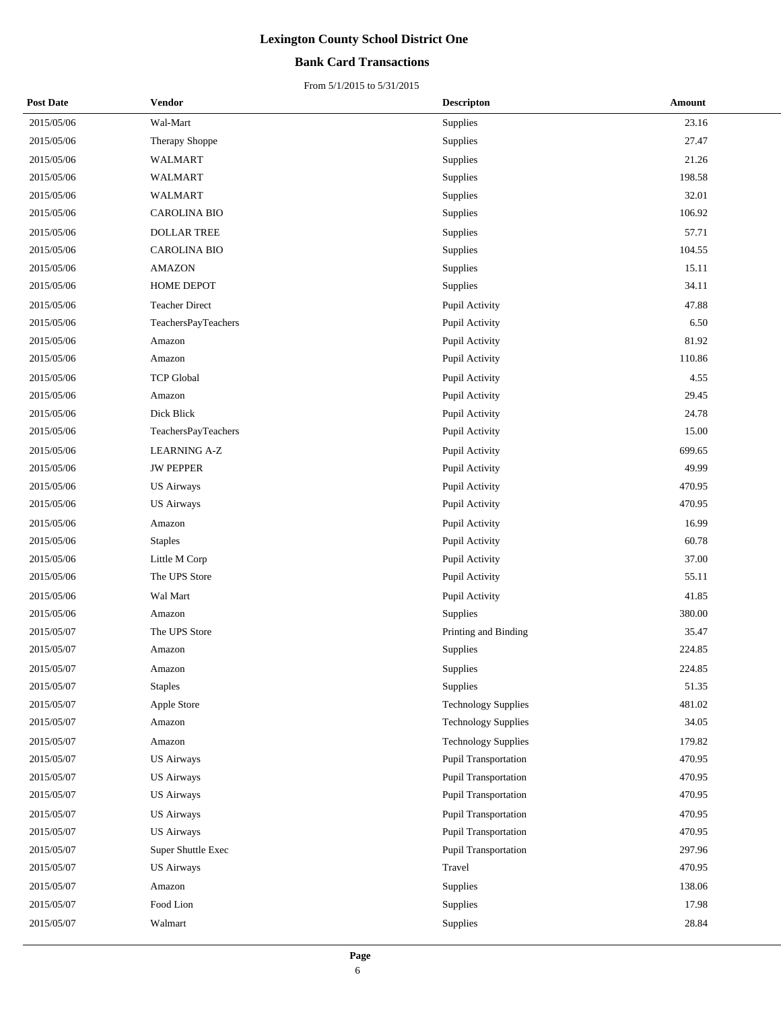## **Bank Card Transactions**

| <b>Post Date</b> | Vendor                | <b>Descripton</b>          | Amount |
|------------------|-----------------------|----------------------------|--------|
| 2015/05/06       | Wal-Mart              | Supplies                   | 23.16  |
| 2015/05/06       | Therapy Shoppe        | Supplies                   | 27.47  |
| 2015/05/06       | <b>WALMART</b>        | Supplies                   | 21.26  |
| 2015/05/06       | WALMART               | Supplies                   | 198.58 |
| 2015/05/06       | <b>WALMART</b>        | Supplies                   | 32.01  |
| 2015/05/06       | <b>CAROLINA BIO</b>   | Supplies                   | 106.92 |
| 2015/05/06       | <b>DOLLAR TREE</b>    | Supplies                   | 57.71  |
| 2015/05/06       | <b>CAROLINA BIO</b>   | Supplies                   | 104.55 |
| 2015/05/06       | <b>AMAZON</b>         | Supplies                   | 15.11  |
| 2015/05/06       | HOME DEPOT            | Supplies                   | 34.11  |
| 2015/05/06       | <b>Teacher Direct</b> | Pupil Activity             | 47.88  |
| 2015/05/06       | TeachersPayTeachers   | Pupil Activity             | 6.50   |
| 2015/05/06       | Amazon                | Pupil Activity             | 81.92  |
| 2015/05/06       | Amazon                | Pupil Activity             | 110.86 |
| 2015/05/06       | <b>TCP Global</b>     | Pupil Activity             | 4.55   |
| 2015/05/06       | Amazon                | Pupil Activity             | 29.45  |
| 2015/05/06       | Dick Blick            | Pupil Activity             | 24.78  |
| 2015/05/06       | TeachersPayTeachers   | Pupil Activity             | 15.00  |
| 2015/05/06       | <b>LEARNING A-Z</b>   | Pupil Activity             | 699.65 |
| 2015/05/06       | <b>JW PEPPER</b>      | Pupil Activity             | 49.99  |
| 2015/05/06       | <b>US Airways</b>     | Pupil Activity             | 470.95 |
| 2015/05/06       | <b>US Airways</b>     | Pupil Activity             | 470.95 |
| 2015/05/06       | Amazon                | Pupil Activity             | 16.99  |
| 2015/05/06       | <b>Staples</b>        | Pupil Activity             | 60.78  |
| 2015/05/06       | Little M Corp         | Pupil Activity             | 37.00  |
| 2015/05/06       | The UPS Store         | Pupil Activity             | 55.11  |
| 2015/05/06       | Wal Mart              | Pupil Activity             | 41.85  |
| 2015/05/06       | Amazon                | Supplies                   | 380.00 |
| 2015/05/07       | The UPS Store         | Printing and Binding       | 35.47  |
| 2015/05/07       | Amazon                | Supplies                   | 224.85 |
| 2015/05/07       | Amazon                | Supplies                   | 224.85 |
| 2015/05/07       | <b>Staples</b>        | Supplies                   | 51.35  |
| 2015/05/07       | Apple Store           | <b>Technology Supplies</b> | 481.02 |
| 2015/05/07       | Amazon                | <b>Technology Supplies</b> | 34.05  |
| 2015/05/07       | Amazon                | <b>Technology Supplies</b> | 179.82 |
| 2015/05/07       | <b>US Airways</b>     | Pupil Transportation       | 470.95 |
| 2015/05/07       | <b>US Airways</b>     | Pupil Transportation       | 470.95 |
| 2015/05/07       | <b>US Airways</b>     | Pupil Transportation       | 470.95 |
| 2015/05/07       | <b>US Airways</b>     | Pupil Transportation       | 470.95 |
| 2015/05/07       | <b>US Airways</b>     | Pupil Transportation       | 470.95 |
| 2015/05/07       | Super Shuttle Exec    | Pupil Transportation       | 297.96 |
| 2015/05/07       | <b>US Airways</b>     | Travel                     | 470.95 |
| 2015/05/07       | Amazon                | Supplies                   | 138.06 |
| 2015/05/07       | Food Lion             | Supplies                   | 17.98  |
| 2015/05/07       | Walmart               | Supplies                   | 28.84  |
|                  |                       |                            |        |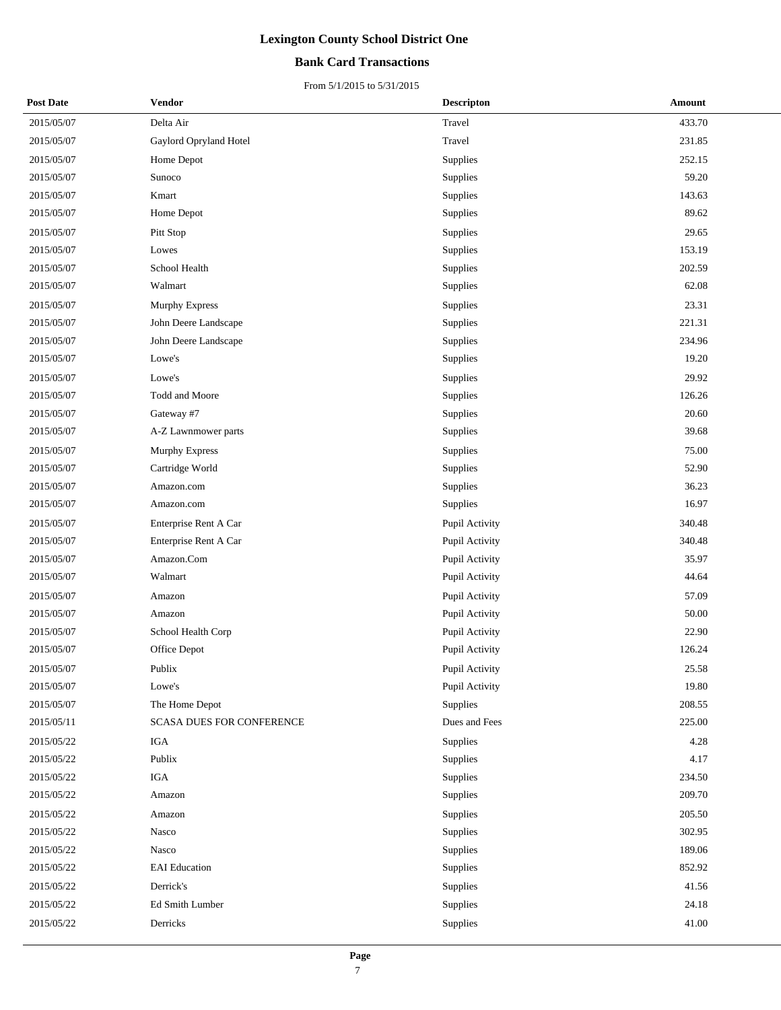## **Bank Card Transactions**

| <b>Post Date</b> | Vendor                    | <b>Descripton</b> | Amount |
|------------------|---------------------------|-------------------|--------|
| 2015/05/07       | Delta Air                 | Travel            | 433.70 |
| 2015/05/07       | Gaylord Opryland Hotel    | Travel            | 231.85 |
| 2015/05/07       | Home Depot                | Supplies          | 252.15 |
| 2015/05/07       | Sunoco                    | Supplies          | 59.20  |
| 2015/05/07       | Kmart                     | Supplies          | 143.63 |
| 2015/05/07       | Home Depot                | Supplies          | 89.62  |
| 2015/05/07       | Pitt Stop                 | Supplies          | 29.65  |
| 2015/05/07       | Lowes                     | Supplies          | 153.19 |
| 2015/05/07       | School Health             | Supplies          | 202.59 |
| 2015/05/07       | Walmart                   | Supplies          | 62.08  |
| 2015/05/07       | Murphy Express            | Supplies          | 23.31  |
| 2015/05/07       | John Deere Landscape      | Supplies          | 221.31 |
| 2015/05/07       | John Deere Landscape      | Supplies          | 234.96 |
| 2015/05/07       | Lowe's                    | Supplies          | 19.20  |
| 2015/05/07       | Lowe's                    | Supplies          | 29.92  |
| 2015/05/07       | Todd and Moore            | Supplies          | 126.26 |
| 2015/05/07       | Gateway #7                | Supplies          | 20.60  |
| 2015/05/07       | A-Z Lawnmower parts       | Supplies          | 39.68  |
| 2015/05/07       | Murphy Express            | Supplies          | 75.00  |
| 2015/05/07       | Cartridge World           | Supplies          | 52.90  |
| 2015/05/07       | Amazon.com                | Supplies          | 36.23  |
| 2015/05/07       | Amazon.com                | Supplies          | 16.97  |
| 2015/05/07       | Enterprise Rent A Car     | Pupil Activity    | 340.48 |
| 2015/05/07       | Enterprise Rent A Car     | Pupil Activity    | 340.48 |
| 2015/05/07       | Amazon.Com                | Pupil Activity    | 35.97  |
| 2015/05/07       | Walmart                   | Pupil Activity    | 44.64  |
| 2015/05/07       | Amazon                    | Pupil Activity    | 57.09  |
| 2015/05/07       | Amazon                    | Pupil Activity    | 50.00  |
| 2015/05/07       | School Health Corp        | Pupil Activity    | 22.90  |
| 2015/05/07       | Office Depot              | Pupil Activity    | 126.24 |
| 2015/05/07       | Publix                    | Pupil Activity    | 25.58  |
| 2015/05/07       | Lowe's                    | Pupil Activity    | 19.80  |
| 2015/05/07       | The Home Depot            | Supplies          | 208.55 |
| 2015/05/11       | SCASA DUES FOR CONFERENCE | Dues and Fees     | 225.00 |
| 2015/05/22       | IGA                       | Supplies          | 4.28   |
| 2015/05/22       | Publix                    | Supplies          | 4.17   |
| 2015/05/22       | IGA                       | Supplies          | 234.50 |
| 2015/05/22       | Amazon                    | Supplies          | 209.70 |
| 2015/05/22       | Amazon                    | Supplies          | 205.50 |
| 2015/05/22       | Nasco                     | Supplies          | 302.95 |
| 2015/05/22       | Nasco                     | Supplies          | 189.06 |
| 2015/05/22       | <b>EAI</b> Education      | Supplies          | 852.92 |
| 2015/05/22       | Derrick's                 | Supplies          | 41.56  |
| 2015/05/22       | Ed Smith Lumber           | Supplies          | 24.18  |
| 2015/05/22       | Derricks                  | Supplies          | 41.00  |
|                  |                           |                   |        |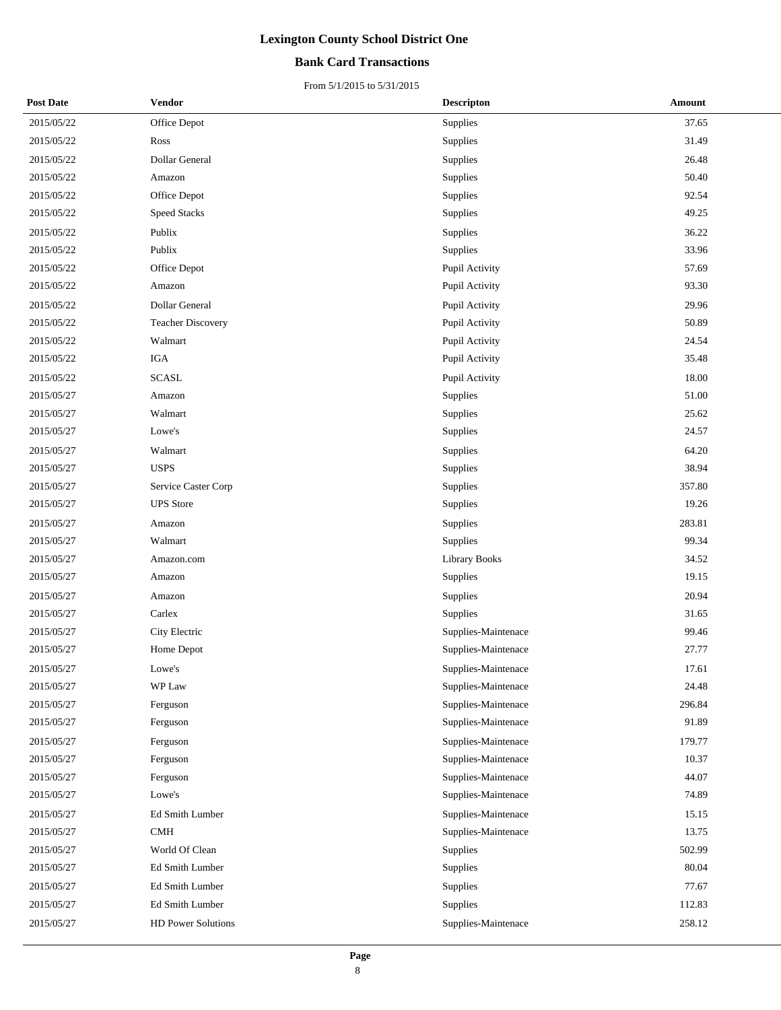## **Bank Card Transactions**

| <b>Post Date</b> | Vendor                   | <b>Descripton</b>    | Amount |
|------------------|--------------------------|----------------------|--------|
| 2015/05/22       | Office Depot             | <b>Supplies</b>      | 37.65  |
| 2015/05/22       | Ross                     | Supplies             | 31.49  |
| 2015/05/22       | Dollar General           | Supplies             | 26.48  |
| 2015/05/22       | Amazon                   | Supplies             | 50.40  |
| 2015/05/22       | Office Depot             | Supplies             | 92.54  |
| 2015/05/22       | <b>Speed Stacks</b>      | Supplies             | 49.25  |
| 2015/05/22       | Publix                   | Supplies             | 36.22  |
| 2015/05/22       | Publix                   | Supplies             | 33.96  |
| 2015/05/22       | Office Depot             | Pupil Activity       | 57.69  |
| 2015/05/22       | Amazon                   | Pupil Activity       | 93.30  |
| 2015/05/22       | Dollar General           | Pupil Activity       | 29.96  |
| 2015/05/22       | <b>Teacher Discovery</b> | Pupil Activity       | 50.89  |
| 2015/05/22       | Walmart                  | Pupil Activity       | 24.54  |
| 2015/05/22       | IGA                      | Pupil Activity       | 35.48  |
| 2015/05/22       | <b>SCASL</b>             | Pupil Activity       | 18.00  |
| 2015/05/27       | Amazon                   | Supplies             | 51.00  |
| 2015/05/27       | Walmart                  | Supplies             | 25.62  |
| 2015/05/27       | Lowe's                   | Supplies             | 24.57  |
| 2015/05/27       | Walmart                  | Supplies             | 64.20  |
| 2015/05/27       | <b>USPS</b>              | <b>Supplies</b>      | 38.94  |
| 2015/05/27       | Service Caster Corp      | Supplies             | 357.80 |
| 2015/05/27       | <b>UPS</b> Store         | Supplies             | 19.26  |
| 2015/05/27       | Amazon                   | Supplies             | 283.81 |
| 2015/05/27       | Walmart                  | Supplies             | 99.34  |
| 2015/05/27       | Amazon.com               | <b>Library Books</b> | 34.52  |
| 2015/05/27       | Amazon                   | Supplies             | 19.15  |
| 2015/05/27       | Amazon                   | Supplies             | 20.94  |
| 2015/05/27       | Carlex                   | Supplies             | 31.65  |
| 2015/05/27       | City Electric            | Supplies-Maintenace  | 99.46  |
| 2015/05/27       | Home Depot               | Supplies-Maintenace  | 27.77  |
| 2015/05/27       | Lowe's                   | Supplies-Maintenace  | 17.61  |
| 2015/05/27       | WP Law                   | Supplies-Maintenace  | 24.48  |
| 2015/05/27       | Ferguson                 | Supplies-Maintenace  | 296.84 |
| 2015/05/27       | Ferguson                 | Supplies-Maintenace  | 91.89  |
| 2015/05/27       | Ferguson                 | Supplies-Maintenace  | 179.77 |
| 2015/05/27       | Ferguson                 | Supplies-Maintenace  | 10.37  |
| 2015/05/27       | Ferguson                 | Supplies-Maintenace  | 44.07  |
| 2015/05/27       | Lowe's                   | Supplies-Maintenace  | 74.89  |
| 2015/05/27       | Ed Smith Lumber          | Supplies-Maintenace  | 15.15  |
| 2015/05/27       | CMH                      | Supplies-Maintenace  | 13.75  |
| 2015/05/27       | World Of Clean           | Supplies             | 502.99 |
| 2015/05/27       | Ed Smith Lumber          | Supplies             | 80.04  |
| 2015/05/27       | Ed Smith Lumber          | Supplies             | 77.67  |
| 2015/05/27       | Ed Smith Lumber          | Supplies             | 112.83 |
| 2015/05/27       | HD Power Solutions       | Supplies-Maintenace  | 258.12 |
|                  |                          |                      |        |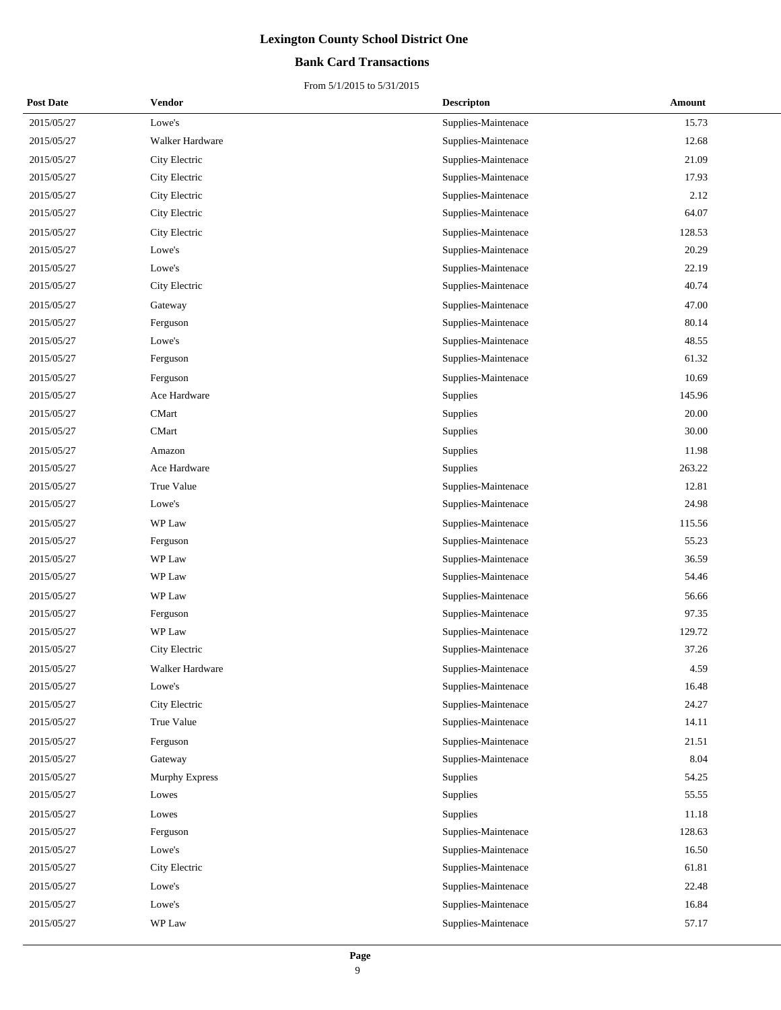## **Bank Card Transactions**

| <b>Post Date</b> | <b>Vendor</b>   | <b>Descripton</b>   | Amount |
|------------------|-----------------|---------------------|--------|
| 2015/05/27       | Lowe's          | Supplies-Maintenace | 15.73  |
| 2015/05/27       | Walker Hardware | Supplies-Maintenace | 12.68  |
| 2015/05/27       | City Electric   | Supplies-Maintenace | 21.09  |
| 2015/05/27       | City Electric   | Supplies-Maintenace | 17.93  |
| 2015/05/27       | City Electric   | Supplies-Maintenace | 2.12   |
| 2015/05/27       | City Electric   | Supplies-Maintenace | 64.07  |
| 2015/05/27       | City Electric   | Supplies-Maintenace | 128.53 |
| 2015/05/27       | Lowe's          | Supplies-Maintenace | 20.29  |
| 2015/05/27       | Lowe's          | Supplies-Maintenace | 22.19  |
| 2015/05/27       | City Electric   | Supplies-Maintenace | 40.74  |
| 2015/05/27       | Gateway         | Supplies-Maintenace | 47.00  |
| 2015/05/27       | Ferguson        | Supplies-Maintenace | 80.14  |
| 2015/05/27       | Lowe's          | Supplies-Maintenace | 48.55  |
| 2015/05/27       | Ferguson        | Supplies-Maintenace | 61.32  |
| 2015/05/27       | Ferguson        | Supplies-Maintenace | 10.69  |
| 2015/05/27       | Ace Hardware    | Supplies            | 145.96 |
| 2015/05/27       | <b>CMart</b>    | Supplies            | 20.00  |
| 2015/05/27       | <b>CMart</b>    | Supplies            | 30.00  |
| 2015/05/27       | Amazon          | Supplies            | 11.98  |
| 2015/05/27       | Ace Hardware    | Supplies            | 263.22 |
| 2015/05/27       | True Value      | Supplies-Maintenace | 12.81  |
| 2015/05/27       | Lowe's          | Supplies-Maintenace | 24.98  |
| 2015/05/27       | WP Law          | Supplies-Maintenace | 115.56 |
| 2015/05/27       | Ferguson        | Supplies-Maintenace | 55.23  |
| 2015/05/27       | WP Law          | Supplies-Maintenace | 36.59  |
| 2015/05/27       | WP Law          | Supplies-Maintenace | 54.46  |
| 2015/05/27       | WP Law          | Supplies-Maintenace | 56.66  |
| 2015/05/27       | Ferguson        | Supplies-Maintenace | 97.35  |
| 2015/05/27       | WP Law          | Supplies-Maintenace | 129.72 |
| 2015/05/27       | City Electric   | Supplies-Maintenace | 37.26  |
| 2015/05/27       | Walker Hardware | Supplies-Maintenace | 4.59   |
| 2015/05/27       | Lowe's          | Supplies-Maintenace | 16.48  |
| 2015/05/27       | City Electric   | Supplies-Maintenace | 24.27  |
| 2015/05/27       | True Value      | Supplies-Maintenace | 14.11  |
| 2015/05/27       | Ferguson        | Supplies-Maintenace | 21.51  |
| 2015/05/27       | Gateway         | Supplies-Maintenace | 8.04   |
| 2015/05/27       | Murphy Express  | Supplies            | 54.25  |
| 2015/05/27       | Lowes           | Supplies            | 55.55  |
| 2015/05/27       | Lowes           | Supplies            | 11.18  |
| 2015/05/27       | Ferguson        | Supplies-Maintenace | 128.63 |
| 2015/05/27       | Lowe's          | Supplies-Maintenace | 16.50  |
| 2015/05/27       | City Electric   | Supplies-Maintenace | 61.81  |
| 2015/05/27       | Lowe's          | Supplies-Maintenace | 22.48  |
| 2015/05/27       | Lowe's          | Supplies-Maintenace | 16.84  |
| 2015/05/27       | WP Law          | Supplies-Maintenace | 57.17  |
|                  |                 |                     |        |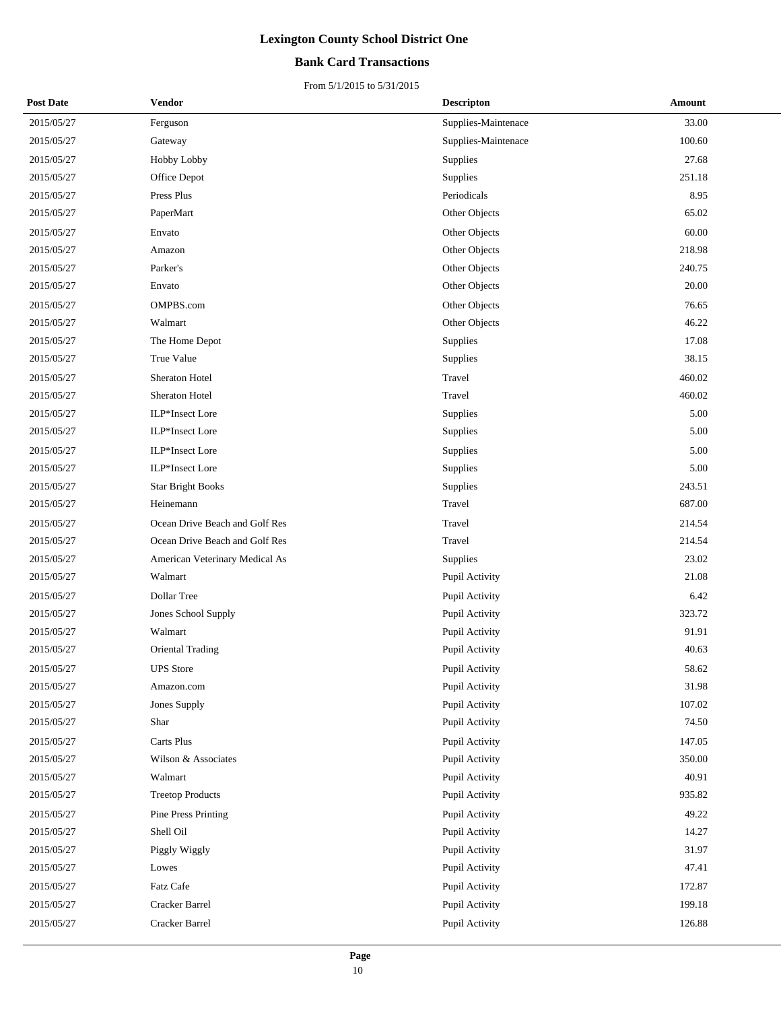## **Bank Card Transactions**

| <b>Post Date</b> | Vendor                         | <b>Descripton</b>   | Amount |
|------------------|--------------------------------|---------------------|--------|
| 2015/05/27       | Ferguson                       | Supplies-Maintenace | 33.00  |
| 2015/05/27       | Gateway                        | Supplies-Maintenace | 100.60 |
| 2015/05/27       | Hobby Lobby                    | Supplies            | 27.68  |
| 2015/05/27       | Office Depot                   | Supplies            | 251.18 |
| 2015/05/27       | Press Plus                     | Periodicals         | 8.95   |
| 2015/05/27       | PaperMart                      | Other Objects       | 65.02  |
| 2015/05/27       | Envato                         | Other Objects       | 60.00  |
| 2015/05/27       | Amazon                         | Other Objects       | 218.98 |
| 2015/05/27       | Parker's                       | Other Objects       | 240.75 |
| 2015/05/27       | Envato                         | Other Objects       | 20.00  |
| 2015/05/27       | OMPBS.com                      | Other Objects       | 76.65  |
| 2015/05/27       | Walmart                        | Other Objects       | 46.22  |
| 2015/05/27       | The Home Depot                 | <b>Supplies</b>     | 17.08  |
| 2015/05/27       | True Value                     | Supplies            | 38.15  |
| 2015/05/27       | Sheraton Hotel                 | Travel              | 460.02 |
| 2015/05/27       | Sheraton Hotel                 | Travel              | 460.02 |
| 2015/05/27       | ILP*Insect Lore                | <b>Supplies</b>     | 5.00   |
| 2015/05/27       | ILP*Insect Lore                | Supplies            | 5.00   |
| 2015/05/27       | ILP*Insect Lore                | Supplies            | 5.00   |
| 2015/05/27       | ILP*Insect Lore                | Supplies            | 5.00   |
| 2015/05/27       | <b>Star Bright Books</b>       | Supplies            | 243.51 |
| 2015/05/27       | Heinemann                      | Travel              | 687.00 |
| 2015/05/27       | Ocean Drive Beach and Golf Res | Travel              | 214.54 |
| 2015/05/27       | Ocean Drive Beach and Golf Res | Travel              | 214.54 |
| 2015/05/27       | American Veterinary Medical As | <b>Supplies</b>     | 23.02  |
| 2015/05/27       | Walmart                        | Pupil Activity      | 21.08  |
| 2015/05/27       | Dollar Tree                    | Pupil Activity      | 6.42   |
| 2015/05/27       | Jones School Supply            | Pupil Activity      | 323.72 |
| 2015/05/27       | Walmart                        | Pupil Activity      | 91.91  |
| 2015/05/27       | Oriental Trading               | Pupil Activity      | 40.63  |
| 2015/05/27       | <b>UPS</b> Store               | Pupil Activity      | 58.62  |
| 2015/05/27       | Amazon.com                     | Pupil Activity      | 31.98  |
| 2015/05/27       | Jones Supply                   | Pupil Activity      | 107.02 |
| 2015/05/27       | Shar                           | Pupil Activity      | 74.50  |
| 2015/05/27       | Carts Plus                     | Pupil Activity      | 147.05 |
| 2015/05/27       | Wilson & Associates            | Pupil Activity      | 350.00 |
| 2015/05/27       | Walmart                        | Pupil Activity      | 40.91  |
| 2015/05/27       | <b>Treetop Products</b>        | Pupil Activity      | 935.82 |
| 2015/05/27       | Pine Press Printing            | Pupil Activity      | 49.22  |
| 2015/05/27       | Shell Oil                      | Pupil Activity      | 14.27  |
| 2015/05/27       | Piggly Wiggly                  | Pupil Activity      | 31.97  |
| 2015/05/27       | Lowes                          | Pupil Activity      | 47.41  |
| 2015/05/27       | Fatz Cafe                      | Pupil Activity      | 172.87 |
| 2015/05/27       | Cracker Barrel                 | Pupil Activity      | 199.18 |
| 2015/05/27       | Cracker Barrel                 | Pupil Activity      | 126.88 |
|                  |                                |                     |        |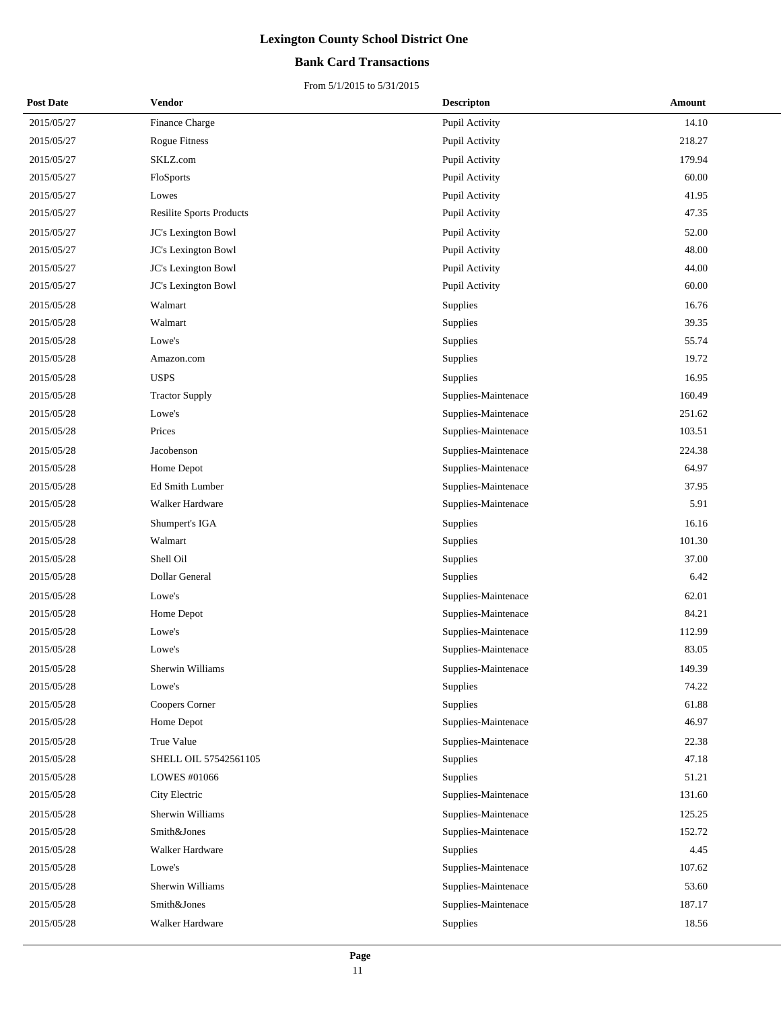## **Bank Card Transactions**

| <b>Post Date</b> | Vendor                          | <b>Descripton</b>   | Amount |  |
|------------------|---------------------------------|---------------------|--------|--|
| 2015/05/27       | Finance Charge                  | Pupil Activity      | 14.10  |  |
| 2015/05/27       | <b>Rogue Fitness</b>            | Pupil Activity      | 218.27 |  |
| 2015/05/27       | SKLZ.com                        | Pupil Activity      | 179.94 |  |
| 2015/05/27       | FloSports                       | Pupil Activity      | 60.00  |  |
| 2015/05/27       | Lowes                           | Pupil Activity      | 41.95  |  |
| 2015/05/27       | <b>Resilite Sports Products</b> | Pupil Activity      | 47.35  |  |
| 2015/05/27       | JC's Lexington Bowl             | Pupil Activity      | 52.00  |  |
| 2015/05/27       | JC's Lexington Bowl             | Pupil Activity      | 48.00  |  |
| 2015/05/27       | JC's Lexington Bowl             | Pupil Activity      | 44.00  |  |
| 2015/05/27       | JC's Lexington Bowl             | Pupil Activity      | 60.00  |  |
| 2015/05/28       | Walmart                         | Supplies            | 16.76  |  |
| 2015/05/28       | Walmart                         | Supplies            | 39.35  |  |
| 2015/05/28       | Lowe's                          | Supplies            | 55.74  |  |
| 2015/05/28       | Amazon.com                      | Supplies            | 19.72  |  |
| 2015/05/28       | <b>USPS</b>                     | Supplies            | 16.95  |  |
| 2015/05/28       | <b>Tractor Supply</b>           | Supplies-Maintenace | 160.49 |  |
| 2015/05/28       | Lowe's                          | Supplies-Maintenace | 251.62 |  |
| 2015/05/28       | Prices                          | Supplies-Maintenace | 103.51 |  |
| 2015/05/28       | Jacobenson                      | Supplies-Maintenace | 224.38 |  |
| 2015/05/28       | Home Depot                      | Supplies-Maintenace | 64.97  |  |
| 2015/05/28       | Ed Smith Lumber                 | Supplies-Maintenace | 37.95  |  |
| 2015/05/28       | Walker Hardware                 | Supplies-Maintenace | 5.91   |  |
| 2015/05/28       | Shumpert's IGA                  | Supplies            | 16.16  |  |
| 2015/05/28       | Walmart                         | Supplies            | 101.30 |  |
| 2015/05/28       | Shell Oil                       | Supplies            | 37.00  |  |
| 2015/05/28       | Dollar General                  | Supplies            | 6.42   |  |
| 2015/05/28       | Lowe's                          | Supplies-Maintenace | 62.01  |  |
| 2015/05/28       | Home Depot                      | Supplies-Maintenace | 84.21  |  |
| 2015/05/28       | Lowe's                          | Supplies-Maintenace | 112.99 |  |
| 2015/05/28       | Lowe's                          | Supplies-Maintenace | 83.05  |  |
| 2015/05/28       | Sherwin Williams                | Supplies-Maintenace | 149.39 |  |
| 2015/05/28       | Lowe's                          | Supplies            | 74.22  |  |
| 2015/05/28       | Coopers Corner                  | Supplies            | 61.88  |  |
| 2015/05/28       | Home Depot                      | Supplies-Maintenace | 46.97  |  |
| 2015/05/28       | True Value                      | Supplies-Maintenace | 22.38  |  |
| 2015/05/28       | SHELL OIL 57542561105           | Supplies            | 47.18  |  |
| 2015/05/28       | LOWES #01066                    | Supplies            | 51.21  |  |
| 2015/05/28       | City Electric                   | Supplies-Maintenace | 131.60 |  |
| 2015/05/28       | Sherwin Williams                | Supplies-Maintenace | 125.25 |  |
| 2015/05/28       | Smith&Jones                     | Supplies-Maintenace | 152.72 |  |
| 2015/05/28       | Walker Hardware                 | Supplies            | 4.45   |  |
| 2015/05/28       | Lowe's                          | Supplies-Maintenace | 107.62 |  |
| 2015/05/28       | Sherwin Williams                | Supplies-Maintenace | 53.60  |  |
| 2015/05/28       | Smith&Jones                     | Supplies-Maintenace | 187.17 |  |
| 2015/05/28       | Walker Hardware                 | Supplies            | 18.56  |  |
|                  |                                 |                     |        |  |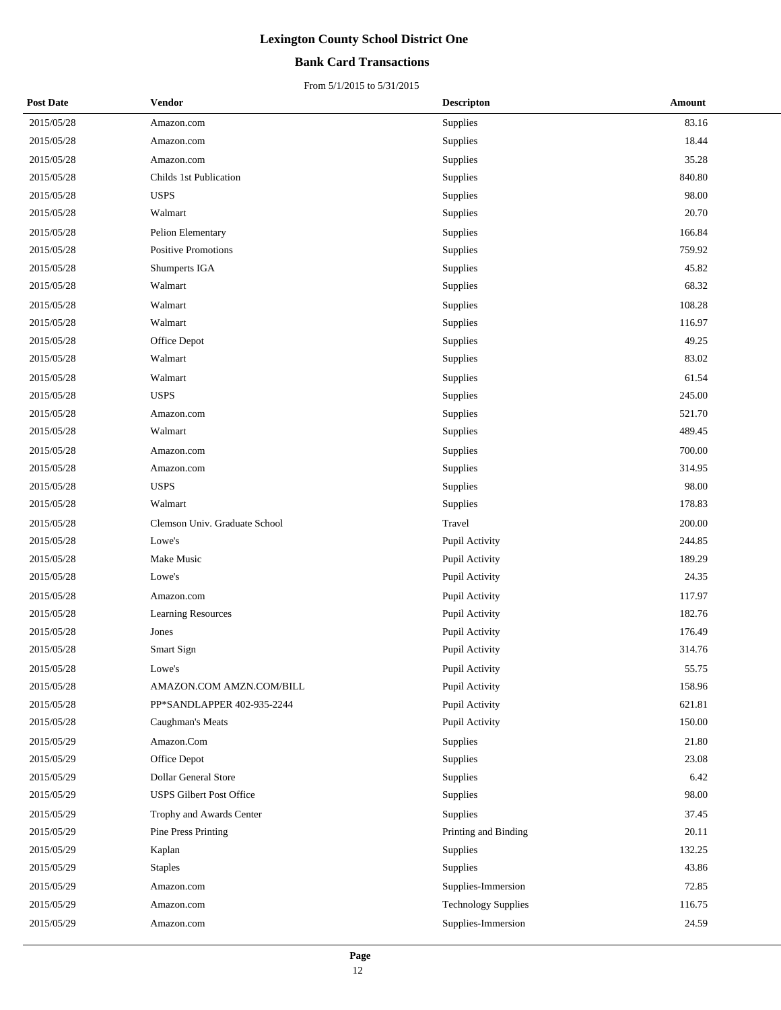## **Bank Card Transactions**

| <b>Post Date</b> | Vendor                          | <b>Descripton</b>          | Amount |
|------------------|---------------------------------|----------------------------|--------|
| 2015/05/28       | Amazon.com                      | Supplies                   | 83.16  |
| 2015/05/28       | Amazon.com                      | Supplies                   | 18.44  |
| 2015/05/28       | Amazon.com                      | Supplies                   | 35.28  |
| 2015/05/28       | Childs 1st Publication          | Supplies                   | 840.80 |
| 2015/05/28       | <b>USPS</b>                     | Supplies                   | 98.00  |
| 2015/05/28       | Walmart                         | Supplies                   | 20.70  |
| 2015/05/28       | Pelion Elementary               | Supplies                   | 166.84 |
| 2015/05/28       | <b>Positive Promotions</b>      | Supplies                   | 759.92 |
| 2015/05/28       | Shumperts IGA                   | Supplies                   | 45.82  |
| 2015/05/28       | Walmart                         | Supplies                   | 68.32  |
| 2015/05/28       | Walmart                         | Supplies                   | 108.28 |
| 2015/05/28       | Walmart                         | Supplies                   | 116.97 |
| 2015/05/28       | Office Depot                    | Supplies                   | 49.25  |
| 2015/05/28       | Walmart                         | Supplies                   | 83.02  |
| 2015/05/28       | Walmart                         | Supplies                   | 61.54  |
| 2015/05/28       | <b>USPS</b>                     | Supplies                   | 245.00 |
| 2015/05/28       | Amazon.com                      | Supplies                   | 521.70 |
| 2015/05/28       | Walmart                         | Supplies                   | 489.45 |
| 2015/05/28       | Amazon.com                      | Supplies                   | 700.00 |
| 2015/05/28       | Amazon.com                      | Supplies                   | 314.95 |
| 2015/05/28       | <b>USPS</b>                     | Supplies                   | 98.00  |
| 2015/05/28       | Walmart                         | Supplies                   | 178.83 |
| 2015/05/28       | Clemson Univ. Graduate School   | Travel                     | 200.00 |
| 2015/05/28       | Lowe's                          | Pupil Activity             | 244.85 |
| 2015/05/28       | Make Music                      | Pupil Activity             | 189.29 |
| 2015/05/28       | Lowe's                          | Pupil Activity             | 24.35  |
| 2015/05/28       | Amazon.com                      | Pupil Activity             | 117.97 |
| 2015/05/28       | <b>Learning Resources</b>       | Pupil Activity             | 182.76 |
| 2015/05/28       | Jones                           | Pupil Activity             | 176.49 |
| 2015/05/28       | Smart Sign                      | Pupil Activity             | 314.76 |
| 2015/05/28       | Lowe's                          | <b>Pupil Activity</b>      | 55.75  |
| 2015/05/28       | AMAZON.COM AMZN.COM/BILL        | Pupil Activity             | 158.96 |
| 2015/05/28       | PP*SANDLAPPER 402-935-2244      | Pupil Activity             | 621.81 |
| 2015/05/28       | Caughman's Meats                | Pupil Activity             | 150.00 |
| 2015/05/29       | Amazon.Com                      | Supplies                   | 21.80  |
| 2015/05/29       | Office Depot                    | Supplies                   | 23.08  |
| 2015/05/29       | <b>Dollar General Store</b>     | Supplies                   | 6.42   |
| 2015/05/29       | <b>USPS Gilbert Post Office</b> | Supplies                   | 98.00  |
| 2015/05/29       | Trophy and Awards Center        | Supplies                   | 37.45  |
| 2015/05/29       | Pine Press Printing             | Printing and Binding       | 20.11  |
| 2015/05/29       | Kaplan                          | Supplies                   | 132.25 |
| 2015/05/29       | <b>Staples</b>                  | Supplies                   | 43.86  |
| 2015/05/29       | Amazon.com                      | Supplies-Immersion         | 72.85  |
| 2015/05/29       | Amazon.com                      | <b>Technology Supplies</b> | 116.75 |
| 2015/05/29       | Amazon.com                      | Supplies-Immersion         | 24.59  |
|                  |                                 |                            |        |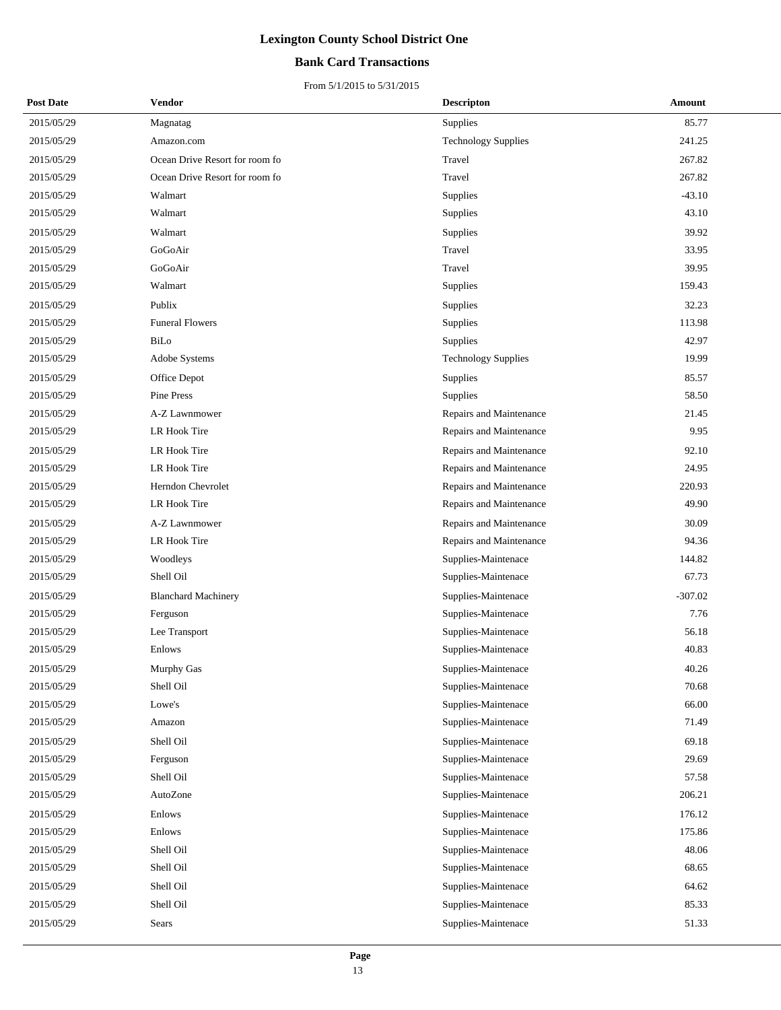## **Bank Card Transactions**

| <b>Post Date</b> | Vendor                         | <b>Descripton</b>          | Amount    |
|------------------|--------------------------------|----------------------------|-----------|
| 2015/05/29       | Magnatag                       | Supplies                   | 85.77     |
| 2015/05/29       | Amazon.com                     | <b>Technology Supplies</b> | 241.25    |
| 2015/05/29       | Ocean Drive Resort for room fo | Travel                     | 267.82    |
| 2015/05/29       | Ocean Drive Resort for room fo | Travel                     | 267.82    |
| 2015/05/29       | Walmart                        | Supplies                   | $-43.10$  |
| 2015/05/29       | Walmart                        | Supplies                   | 43.10     |
| 2015/05/29       | Walmart                        | Supplies                   | 39.92     |
| 2015/05/29       | GoGoAir                        | Travel                     | 33.95     |
| 2015/05/29       | GoGoAir                        | Travel                     | 39.95     |
| 2015/05/29       | Walmart                        | Supplies                   | 159.43    |
| 2015/05/29       | Publix                         | Supplies                   | 32.23     |
| 2015/05/29       | <b>Funeral Flowers</b>         | Supplies                   | 113.98    |
| 2015/05/29       | BiLo                           | Supplies                   | 42.97     |
| 2015/05/29       | Adobe Systems                  | <b>Technology Supplies</b> | 19.99     |
| 2015/05/29       | Office Depot                   | Supplies                   | 85.57     |
| 2015/05/29       | Pine Press                     | Supplies                   | 58.50     |
| 2015/05/29       | A-Z Lawnmower                  | Repairs and Maintenance    | 21.45     |
| 2015/05/29       | LR Hook Tire                   | Repairs and Maintenance    | 9.95      |
| 2015/05/29       | LR Hook Tire                   | Repairs and Maintenance    | 92.10     |
| 2015/05/29       | LR Hook Tire                   | Repairs and Maintenance    | 24.95     |
| 2015/05/29       | Herndon Chevrolet              | Repairs and Maintenance    | 220.93    |
| 2015/05/29       | LR Hook Tire                   | Repairs and Maintenance    | 49.90     |
| 2015/05/29       | A-Z Lawnmower                  | Repairs and Maintenance    | 30.09     |
| 2015/05/29       | LR Hook Tire                   | Repairs and Maintenance    | 94.36     |
| 2015/05/29       | Woodleys                       | Supplies-Maintenace        | 144.82    |
| 2015/05/29       | Shell Oil                      | Supplies-Maintenace        | 67.73     |
| 2015/05/29       | <b>Blanchard Machinery</b>     | Supplies-Maintenace        | $-307.02$ |
| 2015/05/29       | Ferguson                       | Supplies-Maintenace        | 7.76      |
| 2015/05/29       | Lee Transport                  | Supplies-Maintenace        | 56.18     |
| 2015/05/29       | Enlows                         | Supplies-Maintenace        | 40.83     |
| 2015/05/29       | Murphy Gas                     | Supplies-Maintenace        | 40.26     |
| 2015/05/29       | Shell Oil                      | Supplies-Maintenace        | 70.68     |
| 2015/05/29       | Lowe's                         | Supplies-Maintenace        | 66.00     |
| 2015/05/29       | Amazon                         | Supplies-Maintenace        | 71.49     |
| 2015/05/29       | Shell Oil                      | Supplies-Maintenace        | 69.18     |
| 2015/05/29       | Ferguson                       | Supplies-Maintenace        | 29.69     |
| 2015/05/29       | Shell Oil                      | Supplies-Maintenace        | 57.58     |
| 2015/05/29       | AutoZone                       | Supplies-Maintenace        | 206.21    |
| 2015/05/29       | Enlows                         | Supplies-Maintenace        | 176.12    |
| 2015/05/29       | Enlows                         | Supplies-Maintenace        | 175.86    |
| 2015/05/29       | Shell Oil                      | Supplies-Maintenace        | 48.06     |
| 2015/05/29       | Shell Oil                      | Supplies-Maintenace        | 68.65     |
| 2015/05/29       | Shell Oil                      | Supplies-Maintenace        | 64.62     |
| 2015/05/29       | Shell Oil                      | Supplies-Maintenace        | 85.33     |
| 2015/05/29       | Sears                          | Supplies-Maintenace        | 51.33     |
|                  |                                |                            |           |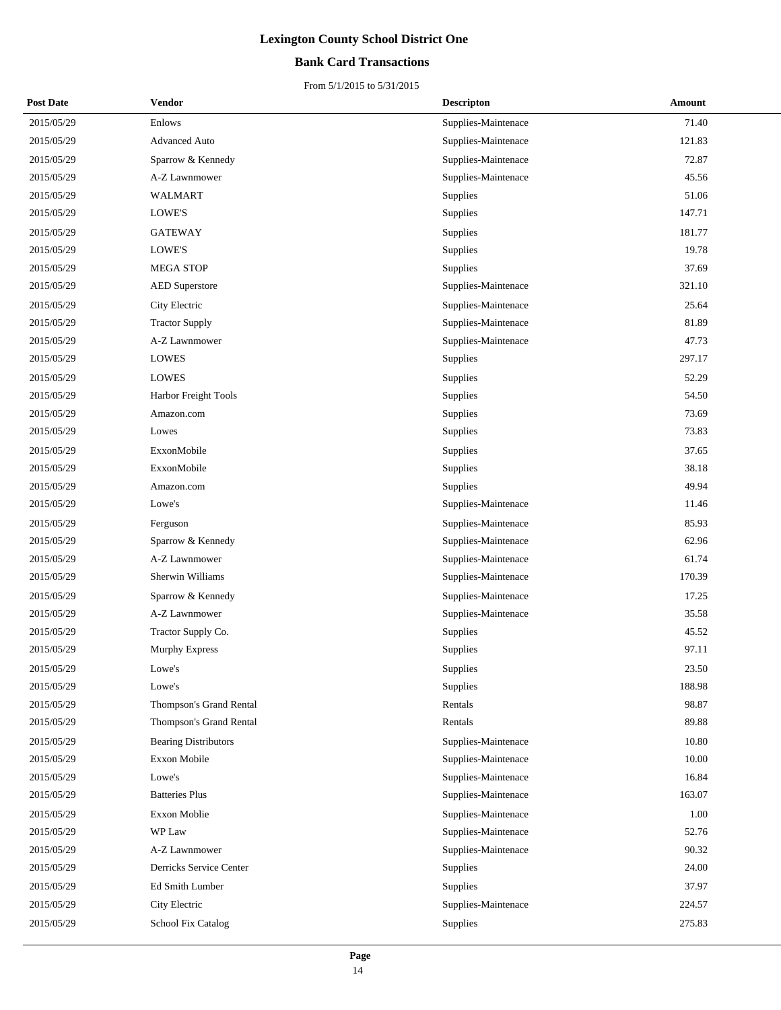## **Bank Card Transactions**

| <b>Post Date</b> | Vendor                      | <b>Descripton</b>   | Amount |
|------------------|-----------------------------|---------------------|--------|
| 2015/05/29       | Enlows                      | Supplies-Maintenace | 71.40  |
| 2015/05/29       | <b>Advanced Auto</b>        | Supplies-Maintenace | 121.83 |
| 2015/05/29       | Sparrow & Kennedy           | Supplies-Maintenace | 72.87  |
| 2015/05/29       | A-Z Lawnmower               | Supplies-Maintenace | 45.56  |
| 2015/05/29       | <b>WALMART</b>              | Supplies            | 51.06  |
| 2015/05/29       | LOWE'S                      | Supplies            | 147.71 |
| 2015/05/29       | <b>GATEWAY</b>              | Supplies            | 181.77 |
| 2015/05/29       | LOWE'S                      | Supplies            | 19.78  |
| 2015/05/29       | <b>MEGA STOP</b>            | Supplies            | 37.69  |
| 2015/05/29       | <b>AED</b> Superstore       | Supplies-Maintenace | 321.10 |
| 2015/05/29       | City Electric               | Supplies-Maintenace | 25.64  |
| 2015/05/29       | <b>Tractor Supply</b>       | Supplies-Maintenace | 81.89  |
| 2015/05/29       | A-Z Lawnmower               | Supplies-Maintenace | 47.73  |
| 2015/05/29       | <b>LOWES</b>                | <b>Supplies</b>     | 297.17 |
| 2015/05/29       | <b>LOWES</b>                | Supplies            | 52.29  |
| 2015/05/29       | Harbor Freight Tools        | Supplies            | 54.50  |
| 2015/05/29       | Amazon.com                  | Supplies            | 73.69  |
| 2015/05/29       | Lowes                       | Supplies            | 73.83  |
| 2015/05/29       | ExxonMobile                 | Supplies            | 37.65  |
| 2015/05/29       | ExxonMobile                 | Supplies            | 38.18  |
| 2015/05/29       | Amazon.com                  | Supplies            | 49.94  |
| 2015/05/29       | Lowe's                      | Supplies-Maintenace | 11.46  |
| 2015/05/29       | Ferguson                    | Supplies-Maintenace | 85.93  |
| 2015/05/29       | Sparrow & Kennedy           | Supplies-Maintenace | 62.96  |
| 2015/05/29       | A-Z Lawnmower               | Supplies-Maintenace | 61.74  |
| 2015/05/29       | Sherwin Williams            | Supplies-Maintenace | 170.39 |
| 2015/05/29       | Sparrow & Kennedy           | Supplies-Maintenace | 17.25  |
| 2015/05/29       | A-Z Lawnmower               | Supplies-Maintenace | 35.58  |
| 2015/05/29       | Tractor Supply Co.          | Supplies            | 45.52  |
| 2015/05/29       | <b>Murphy Express</b>       | Supplies            | 97.11  |
| 2015/05/29       | Lowe's                      | Supplies            | 23.50  |
| 2015/05/29       | Lowe's                      | Supplies            | 188.98 |
| 2015/05/29       | Thompson's Grand Rental     | Rentals             | 98.87  |
| 2015/05/29       | Thompson's Grand Rental     | Rentals             | 89.88  |
| 2015/05/29       | <b>Bearing Distributors</b> | Supplies-Maintenace | 10.80  |
| 2015/05/29       | Exxon Mobile                | Supplies-Maintenace | 10.00  |
| 2015/05/29       | Lowe's                      | Supplies-Maintenace | 16.84  |
| 2015/05/29       | <b>Batteries Plus</b>       | Supplies-Maintenace | 163.07 |
| 2015/05/29       | Exxon Moblie                | Supplies-Maintenace | 1.00   |
| 2015/05/29       | WP Law                      | Supplies-Maintenace | 52.76  |
| 2015/05/29       | A-Z Lawnmower               | Supplies-Maintenace | 90.32  |
| 2015/05/29       | Derricks Service Center     | Supplies            | 24.00  |
| 2015/05/29       | Ed Smith Lumber             | Supplies            | 37.97  |
| 2015/05/29       | City Electric               | Supplies-Maintenace | 224.57 |
| 2015/05/29       | <b>School Fix Catalog</b>   | Supplies            | 275.83 |
|                  |                             |                     |        |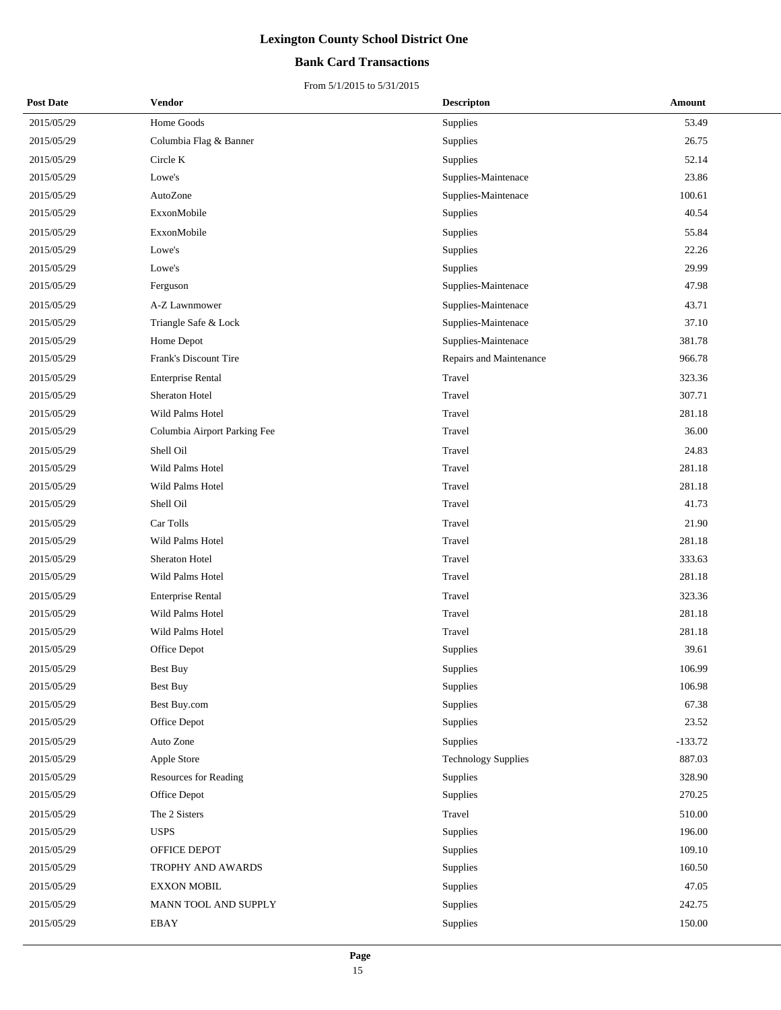## **Bank Card Transactions**

| <b>Post Date</b> | <b>Vendor</b>                | <b>Descripton</b>          | Amount    |
|------------------|------------------------------|----------------------------|-----------|
| 2015/05/29       | Home Goods                   | Supplies                   | 53.49     |
| 2015/05/29       | Columbia Flag & Banner       | Supplies                   | 26.75     |
| 2015/05/29       | Circle K                     | Supplies                   | 52.14     |
| 2015/05/29       | Lowe's                       | Supplies-Maintenace        | 23.86     |
| 2015/05/29       | AutoZone                     | Supplies-Maintenace        | 100.61    |
| 2015/05/29       | ExxonMobile                  | <b>Supplies</b>            | 40.54     |
| 2015/05/29       | ExxonMobile                  | Supplies                   | 55.84     |
| 2015/05/29       | Lowe's                       | Supplies                   | 22.26     |
| 2015/05/29       | Lowe's                       | Supplies                   | 29.99     |
| 2015/05/29       | Ferguson                     | Supplies-Maintenace        | 47.98     |
| 2015/05/29       | A-Z Lawnmower                | Supplies-Maintenace        | 43.71     |
| 2015/05/29       | Triangle Safe & Lock         | Supplies-Maintenace        | 37.10     |
| 2015/05/29       | Home Depot                   | Supplies-Maintenace        | 381.78    |
| 2015/05/29       | Frank's Discount Tire        | Repairs and Maintenance    | 966.78    |
| 2015/05/29       | <b>Enterprise Rental</b>     | Travel                     | 323.36    |
| 2015/05/29       | Sheraton Hotel               | Travel                     | 307.71    |
| 2015/05/29       | Wild Palms Hotel             | Travel                     | 281.18    |
| 2015/05/29       | Columbia Airport Parking Fee | Travel                     | 36.00     |
| 2015/05/29       | Shell Oil                    | Travel                     | 24.83     |
| 2015/05/29       | Wild Palms Hotel             | Travel                     | 281.18    |
| 2015/05/29       | Wild Palms Hotel             | Travel                     | 281.18    |
| 2015/05/29       | Shell Oil                    | Travel                     | 41.73     |
| 2015/05/29       | Car Tolls                    | Travel                     | 21.90     |
| 2015/05/29       | Wild Palms Hotel             | Travel                     | 281.18    |
| 2015/05/29       | Sheraton Hotel               | Travel                     | 333.63    |
| 2015/05/29       | Wild Palms Hotel             | Travel                     | 281.18    |
| 2015/05/29       | <b>Enterprise Rental</b>     | Travel                     | 323.36    |
| 2015/05/29       | Wild Palms Hotel             | Travel                     | 281.18    |
| 2015/05/29       | Wild Palms Hotel             | Travel                     | 281.18    |
| 2015/05/29       | Office Depot                 | Supplies                   | 39.61     |
| 2015/05/29       | Best Buy                     | Supplies                   | 106.99    |
| 2015/05/29       | <b>Best Buy</b>              | Supplies                   | 106.98    |
| 2015/05/29       | Best Buy.com                 | Supplies                   | 67.38     |
| 2015/05/29       | Office Depot                 | Supplies                   | 23.52     |
| 2015/05/29       | Auto Zone                    | Supplies                   | $-133.72$ |
| 2015/05/29       | Apple Store                  | <b>Technology Supplies</b> | 887.03    |
| 2015/05/29       | Resources for Reading        | Supplies                   | 328.90    |
| 2015/05/29       | Office Depot                 | Supplies                   | 270.25    |
| 2015/05/29       | The 2 Sisters                | Travel                     | 510.00    |
| 2015/05/29       | <b>USPS</b>                  | Supplies                   | 196.00    |
| 2015/05/29       | OFFICE DEPOT                 | Supplies                   | 109.10    |
| 2015/05/29       | TROPHY AND AWARDS            | Supplies                   | 160.50    |
| 2015/05/29       | <b>EXXON MOBIL</b>           | Supplies                   | 47.05     |
| 2015/05/29       | MANN TOOL AND SUPPLY         | Supplies                   | 242.75    |
| 2015/05/29       | EBAY                         | Supplies                   | 150.00    |
|                  |                              |                            |           |